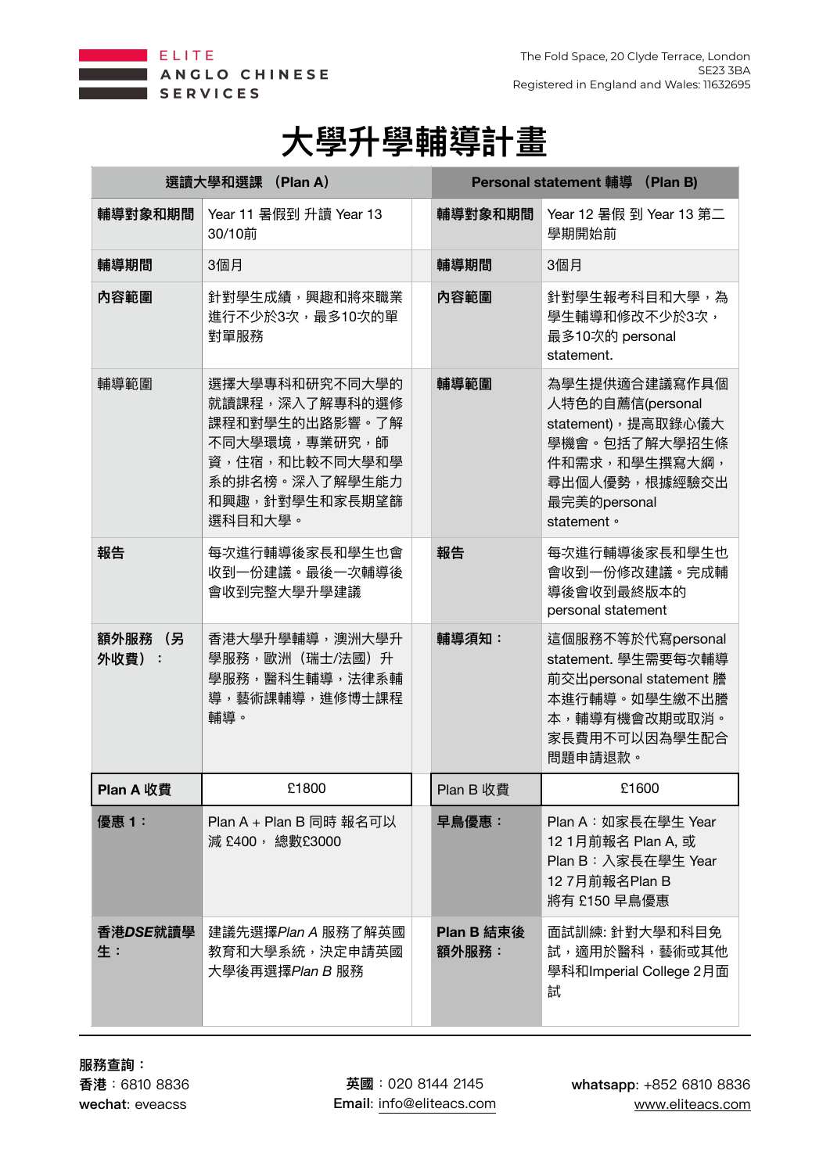



| 選讀大學和選課 (Plan A)    |                                                                                                                                      | Personal statement 輔導 (Plan B) |                                                                                                                                            |
|---------------------|--------------------------------------------------------------------------------------------------------------------------------------|--------------------------------|--------------------------------------------------------------------------------------------------------------------------------------------|
| 輔導對象和期間             | Year 11 暑假到 升讀 Year 13<br>30/10前                                                                                                     | 輔導對象和期間                        | Year 12 暑假 到 Year 13 第二<br>學期開始前                                                                                                           |
| 輔導期間                | 3個月                                                                                                                                  | 輔導期間                           | 3個月                                                                                                                                        |
| 內容範圍                | 針對學生成績,興趣和將來職業<br>進行不少於3次,最多10次的單<br>對單服務                                                                                            | 内容範圍                           | 針對學生報考科目和大學,為<br>學生輔導和修改不少於3次,<br>最多10次的 personal<br>statement.                                                                            |
| 輔導範圍                | 選擇大學專科和研究不同大學的<br>就讀課程,深入了解專科的選修<br>課程和對學生的出路影響。了解<br>不同大學環境,專業研究,師<br>資,住宿,和比較不同大學和學<br>系的排名榜。深入了解學生能力<br>和興趣,針對學生和家長期望篩<br>選科目和大學。 | 輔導範圍                           | 為學生提供適合建議寫作具個<br>人特色的自薦信(personal<br>statement), 提高取錄心儀大<br>學機會。包括了解大學招生條<br>件和需求,和學生撰寫大綱,<br>尋出個人優勢,根據經驗交出<br>最完美的personal<br>statement • |
| 報告                  | 每次進行輔導後家長和學生也會<br>收到一份建議。最後一次輔導後<br>會收到完整大學升學建議                                                                                      | 報告                             | 每次進行輔導後家長和學生也<br>會收到一份修改建議。完成輔<br>導後會收到最終版本的<br>personal statement                                                                         |
| 額外服務<br>(另<br>外收費): | 香港大學升學輔導,澳洲大學升<br>學服務,歐洲 (瑞士/法國) 升<br>學服務,醫科生輔導,法律系輔<br>導,藝術課輔導,進修博士課程<br>輔導。                                                        | 輔導須知:                          | 這個服務不等於代寫personal<br>statement. 學生需要每次輔導<br>前交出personal statement 謄<br>本進行輔導。如學生繳不出謄<br>本,輔導有機會改期或取消。<br>家長費用不可以因為學生配合<br>問題申請退款。          |
| <b>Plan A 收費</b>    | £1800                                                                                                                                | Plan B 收費                      | £1600                                                                                                                                      |
| 優惠1:                | Plan A + Plan B 同時 報名可以<br>減 £400,總數£3000                                                                                            | 早鳥優惠:                          | Plan A: 如家長在學生 Year<br>12 1月前報名 Plan A, 或<br>Plan B: 入家長在學生 Year<br>12 7月前報名Plan B<br>將有 £150 早鳥優惠                                         |
| 香港DSE就讀學<br>生:      | 建議先選擇Plan A 服務了解英國<br>教育和大學系統,決定申請英國<br>大學後再選擇Plan B 服務                                                                              | Plan B 結束後<br>額外服務:            | 面試訓練: 針對大學和科目免<br>試,適用於醫科,藝術或其他<br>學科和Imperial College 2月面<br>試                                                                            |